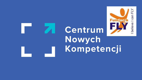# Centrum Nowych Kompetencji

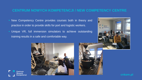# **CENTRUM NOWYCH KOMPETENCJI / NEW COMPETENCY CENTRE**

- **EXECO META EXECUTE:** New Competency Centre provides courses both in theory and practice in order to provide skills for port and logistic workers.
- **. Unique VR, full immersion simulators to achieve outstanding** training results in a safe and comfortable way.



**Centrum** Nowvch Kompetencji



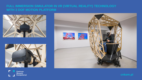#### **FULL IMMERSION SIMULATOR IN VR (VIRTUAL REALITY) TECHNOLOGY WITH 3 DOF MOTION PLATFORM**







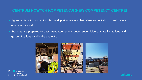## **CENTRUM NOWYCH KOMPETENCJI (NEW COMPETENCY CENTRE)**

- Agreements with port authorities and port operators that allow us to train on real heavy equipment as well.
- **EXT** Students are prepared to pass mandatory exams under supervision of state institutions and get certifications valid in the entire EU.



**Centrum** Nowvch Kompetencii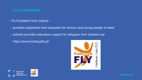# **FLY FUNDATION**

- **Fily Fundation from Gdynia:** 
	- provides assistance and education for seniors and young people in need
	- actively provides education support for refugees from Ukraine war
	- https://www.fundacjafly.pl/





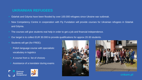#### **UKRAINIAN REFUGEES**

- Gdańsk and Gdynia have been flooded by over 100.000 refugees since Ukraine war outbreak.
- New Competency Centre in cooperation with Fly Fundation will provide courses for Ukrainian refugees in Gdańsk and Gdynia.
- The courses will give students real help in order to get a job and financial independence.
- Our target is to collect EUR 30.000 to provide qualifications for approx 20-30 students.
- Students will get (for FREE):
- Polish language course with specialistic vocabulary in logistics
- A course from a list of choices
- Assistance of a translator during exams